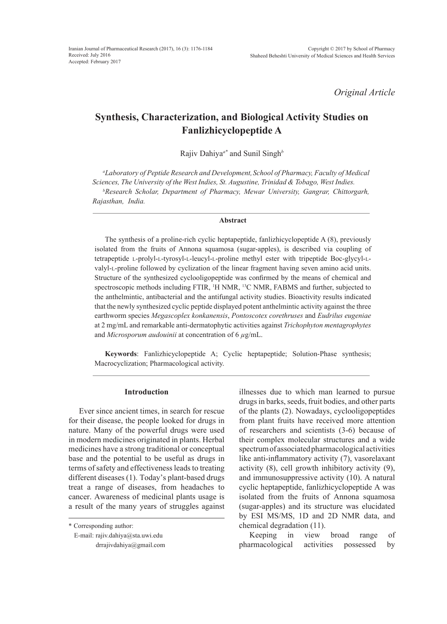*Original Article*

# **Synthesis, Characterization, and Biological Activity Studies on Fanlizhicyclopeptide A**

Rajiv Dahiya*a\** and Sunil Singh*<sup>b</sup>*

*a Laboratory of Peptide Research and Development,School of Pharmacy, Faculty of Medical Sciences, The University of the West Indies, St. Augustine, Trinidad & Tobago, West Indies. b Research Scholar, Department of Pharmacy, Mewar University, Gangrar, Chittorgarh,* 

*Rajasthan, India.*

## **Abstract**

The synthesis of a proline-rich cyclic heptapeptide, fanlizhicyclopeptide A (8), previously isolated from the fruits of Annona squamosa (sugar-apples), is described via coupling of tetrapeptide l-prolyl-l-tyrosyl-l-leucyl-l-proline methyl ester with tripeptide Boc-glycyl-lvalyl-l-proline followed by cyclization of the linear fragment having seven amino acid units. Structure of the synthesized cyclooligopeptide was confirmed by the means of chemical and spectroscopic methods including  $FTIR$ ,  $^1H NMR$ ,  $^{13}C NMR$ ,  $FABMS$  and further, subjected to the anthelmintic, antibacterial and the antifungal activity studies. Bioactivity results indicated that the newly synthesized cyclic peptide displayed potent anthelmintic activity against the three earthworm species *Megascoplex konkanensis*, *Pontoscotex corethruses* and *Eudrilus eugeniae*  at 2 mg/mL and remarkable anti-dermatophytic activities against *Trichophyton mentagrophytes*  and *Microsporum audouinii* at concentration of 6 *µ*g/mL.

**Keywords**: Fanlizhicyclopeptide A; Cyclic heptapeptide; Solution-Phase synthesis; Macrocyclization; Pharmacological activity.

## **Introduction**

Ever since ancient times, in search for rescue for their disease, the people looked for drugs in nature. Many of the powerful drugs were used in modern medicines originated in plants. Herbal medicines have a strong traditional or conceptual base and the potential to be useful as drugs in terms of safety and effectiveness leads to treating different diseases (1). Today's plant-based drugs treat a range of diseases, from headaches to cancer. Awareness of medicinal plants usage is a result of the many years of struggles against

illnesses due to which man learned to pursue drugs in barks, seeds, fruit bodies, and other parts of the plants (2). Nowadays, cyclooligopeptides from plant fruits have received more attention of researchers and scientists (3-6) because of their complex molecular structures and a wide spectrum of associated pharmacological activities like anti-inflammatory activity (7), vasorelaxant activity (8), cell growth inhibitory activity (9), and immunosuppressive activity (10). A natural cyclic heptapeptide, fanlizhicyclopeptide A was isolated from the fruits of Annona squamosa (sugar-apples) and its structure was elucidated by ESI MS/MS, 1D and 2D NMR data, and chemical degradation (11).

Keeping in view broad range of pharmacological activities possessed by

<sup>\*</sup> Corresponding author:

E-mail: rajiv.dahiya@sta.uwi.edu drrajivdahiya@gmail.com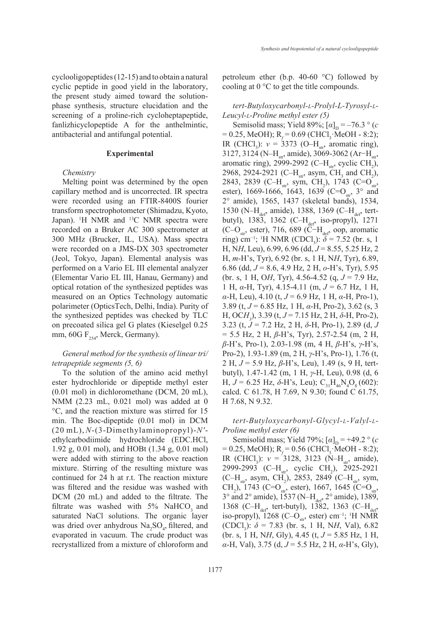cyclooligopeptides (12-15) and to obtain a natural cyclic peptide in good yield in the laboratory, the present study aimed toward the solutionphase synthesis, structure elucidation and the screening of a proline-rich cycloheptapeptide, fanlizhicyclopeptide A for the anthelmintic, antibacterial and antifungal potential.

#### **Experimental**

#### *Chemistry*

Melting point was determined by the open capillary method and is uncorrected. IR spectra were recorded using an FTIR-8400S fourier transform spectrophotometer (Shimadzu, Kyoto, Japan). <sup>1</sup>H NMR and <sup>13</sup>C NMR spectra were recorded on a Bruker AC 300 spectrometer at 300 MHz (Brucker, IL, USA). Mass spectra were recorded on a JMS-DX 303 spectrometer (Jeol, Tokyo, Japan). Elemental analysis was performed on a Vario EL III elemental analyzer (Elementar Vario EL III, Hanau, Germany) and optical rotation of the synthesized peptides was measured on an Optics Technology automatic polarimeter (OpticsTech, Delhi, India). Purity of the synthesized peptides was checked by TLC on precoated silica gel G plates (Kieselgel 0.25 mm,  $60G F_{254}$ , Merck, Germany).

## *General method for the synthesis of linear tri/ tetrapeptide segments (5, 6)*

To the solution of the amino acid methyl ester hydrochloride or dipeptide methyl ester (0.01 mol) in dichloromethane (DCM, 20 mL), NMM (2.23 mL, 0.021 mol) was added at 0 °C, and the reaction mixture was stirred for 15 min. The Boc-dipeptide (0.01 mol) in DCM (20 mL), *N*-(3-Dimethylaminopropyl)-*N′* ethylcarbodiimide hydrochloride (EDC.HCl, 1.92 g, 0.01 mol), and HOBt (1.34 g, 0.01 mol) were added with stirring to the above reaction mixture. Stirring of the resulting mixture was continued for 24 h at r.t. The reaction mixture was filtered and the residue was washed with DCM (20 mL) and added to the filtrate. The filtrate was washed with  $5\%$  NaHCO<sub>3</sub> and saturated NaCl solutions. The organic layer was dried over anhydrous  $\text{Na}_2\text{SO}_4$ , filtered, and evaporated in vacuum. The crude product was recrystallized from a mixture of chloroform and

petroleum ether (b.p. 40-60 °C) followed by cooling at 0 °C to get the title compounds.

# *tert-Butyloxycarbonyl-l-Prolyl-L-Tyrosyl-l-Leucyl-l-Proline methyl ester (5)*

Semisolid mass; Yield 89%;  $[\alpha]_D = -76.3$  ° (*c*  $= 0.25$ , MeOH); R<sub>f</sub> = 0.69 (CHCl<sub>3</sub>·MeOH - 8:2); IR (CHCl<sub>3</sub>):  $v = 3373$  (O–H<sub>str</sub>, aromatic ring), 3127, 3124 (N–H<sub>str</sub>, amide), 3069-3062 (Ar–H<sub>str</sub>, aromatic ring), 2999-2992 (C- $H<sub>str</sub>$ , cyclic CH<sub>2</sub>), 2968, 2924-2921 (C– $H_{str}$ , asym, CH<sub>3</sub> and CH<sub>2</sub>), 2843, 2839 (C–H<sub>str</sub>, sym, CH<sub>2</sub>), 1743 (C=O<sub>str</sub>, ester), 1669-1666, 1643, 1639 (C=O<sub>str</sub>, 3° and 2° amide), 1565, 1437 (skeletal bands), 1534, 1530 (N–H<sub>def</sub>, amide), 1388, 1369 (C–H<sub>def</sub>, tertbutyl), 1383, 1362 (C–H<sub>def</sub>, iso-propyl), 1271 (C–O<sub>str</sub>, ester), 716, 689 (C– $H_{def}$  oop, aromatic ring) cm<sup>-1</sup>; <sup>1</sup>H NMR (CDCl<sub>3</sub>):  $\delta$  = 7.52 (br. s, 1 H, N*H*, Leu), 6.99, 6.96 (dd, *J* = 8.55, 5.25 Hz, 2 H, *m*-H's, Tyr), 6.92 (br. s, 1 H, N*H*, Tyr), 6.89, 6.86 (dd, *J* = 8.6, 4.9 Hz, 2 H, *o*-H's, Tyr), 5.95 (br. s, 1 H, O*H*, Tyr), 4.56-4.52 (q, *J* = 7.9 Hz, 1 H, *α*-H, Tyr), 4.15-4.11 (m, *J* = 6.7 Hz, 1 H, *α*-H, Leu), 4.10 (t, *J* = 6.9 Hz, 1 H, *α*-H, Pro-1), 3.89 (t, *J* = 6.85 Hz, 1 H, *α*-H, Pro-2), 3.62 (s, 3 H, OC*H3* ), 3.39 (t, *J* = 7.15 Hz, 2 H, *δ*-H, Pro-2), 3.23 (t, *J* = 7.2 Hz, 2 H, *δ*-H, Pro-1), 2.89 (d, *J* = 5.5 Hz, 2 H, *β*-H's, Tyr), 2.57-2.54 (m, 2 H, *β*-H's, Pro-1), 2.03-1.98 (m, 4 H, *β*-H's, *γ*-H's, Pro-2), 1.93-1.89 (m, 2 H, *γ*-H's, Pro-1), 1.76 (t, 2 H, *J* = 5.9 Hz, *β*-H's, Leu), 1.49 (s, 9 H, tertbutyl), 1.47-1.42 (m, 1 H, *γ*-H, Leu), 0.98 (d, 6 H,  $J = 6.25$  Hz,  $δ$ -H's, Leu); C<sub>31</sub>H<sub>46</sub>N<sub>4</sub>O<sub>8</sub> (602): calcd. C 61.78, H 7.69, N 9.30; found C 61.75, H 7.68, N 9.32.

*tert-Butyloxycarbonyl-Glycyl-l-Valyl-l-Proline methyl ester (6)*

Semisolid mass; Yield 79%;  $[\alpha]_p = +49.2$  ° (*c*  $= 0.25$ , MeOH); R<sub>f</sub> = 0.56 (CHCl<sub>3</sub> MeOH - 8:2); IR (CHCl<sub>3</sub>):  $v = 3128$ , 3123 (N–H<sub>str</sub>, amide), 2999-2993 (C–H<sub>str</sub>, cyclic CH<sub>2</sub>), 2925-2921  $(C-H<sub>str</sub>, asym, CH<sub>2</sub>), 2853, 2849 (C-H<sub>str</sub>, sym,$ CH<sub>2</sub>), 1743 (C=O<sub>str</sub>, ester), 1667, 1645 (C=O<sub>str</sub>, 3° and 2° amide), 1537 (N–H<sub>def</sub>, 2° amide), 1389, 1368 (C– $H_{\text{def}}$ , tert-butyl), 1382, 1363 (C– $H_{\text{def}}$ iso-propyl), 1268 (C– $O_{str}$ , ester) cm<sup>-1</sup>; <sup>1</sup>H NMR (CDCl<sub>3</sub>):  $\delta$  = 7.83 (br. s, 1 H, NH, Val), 6.82 (br. s, 1 H, N*H*, Gly), 4.45 (t, *J* = 5.85 Hz, 1 H, *α*-H, Val), 3.75 (d, *J* = 5.5 Hz, 2 H, *α*-H's, Gly),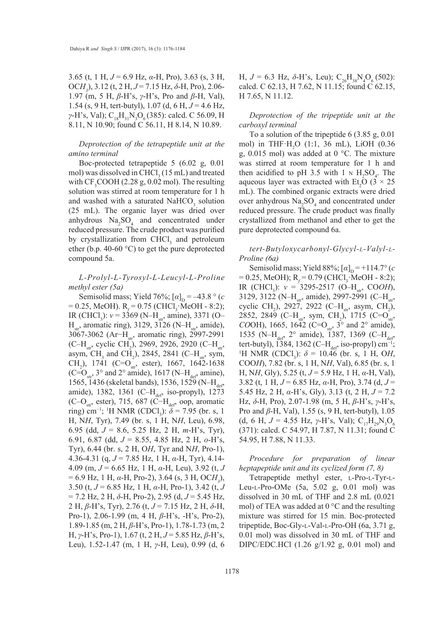3.65 (t, 1 H, *J* = 6.9 Hz, *α*-H, Pro), 3.63 (s, 3 H, OC*H3* ), 3.12 (t, 2 H, *J* = 7.15 Hz, *δ*-H, Pro), 2.06- 1.97 (m, 5 H, *β*-H's, *γ*-H's, Pro and *β*-H, Val), 1.54 (s, 9 H, tert-butyl), 1.07 (d, 6 H, *J* = 4.6 Hz, *γ*-H's, Val); C<sub>18</sub>H<sub>31</sub>N<sub>3</sub>O<sub>6</sub>(385): calcd. C 56.09, H 8.11, N 10.90; found C 56.11, H 8.14, N 10.89.

*Deprotection of the tetrapeptide unit at the amino terminal* 

Boc-protected tetrapeptide 5 (6.02 g, 0.01 mol) was dissolved in  $CHCl<sub>3</sub>$  (15 mL) and treated with  $CF<sub>3</sub>COOH$  (2.28 g, 0.02 mol). The resulting solution was stirred at room temperature for 1 h and washed with a saturated  $NAHCO<sub>3</sub>$  solution (25 mL). The organic layer was dried over anhydrous  $\text{Na}_2\text{SO}_4$  and concentrated under reduced pressure. The crude product was purified by crystallization from  $CHCl<sub>3</sub>$  and petroleum ether (b.p. 40-60 °C) to get the pure deprotected compound 5a.

## *L-Prolyl-L-Tyrosyl-L-Leucyl-L-Proline methyl ester (5a)*

Semisolid mass; Yield 76%;  $[\alpha]_D = -43.8$  ° (*c*)  $= 0.25$ , MeOH). R<sub>f</sub> = 0.75 (CHCl<sub>3</sub>·MeOH - 8:2); IR (CHCl<sub>3</sub>):  $v = 3369$  (N–H<sub>str</sub>, amine), 3371 (O–  $H_{str}$ , aromatic ring), 3129, 3126 (N– $H_{str}$ , amide), 3067-3062 (Ar−H<sub>str</sub>, aromatic ring), 2997-2991 (C–H<sub>str</sub>, cyclic CH<sub>2</sub>), 2969, 2926, 2920 (C–H<sub>str</sub>, asym, CH<sub>3</sub> and CH<sub>2</sub>), 2845, 2841 (C–H<sub>str</sub>, sym, CH<sub>2</sub>), 1741 (C=O<sub>str</sub>, ester), 1667, 1642-1638  $(C=O<sub>str</sub>, 3<sup>o</sup>$  and 2<sup>o</sup> amide), 1617 (N–H<sub>def</sub>, amine), 1565, 1436 (skeletal bands), 1536, 1529 (N-H<sub>def</sub>) amide), 1382, 1361 (C– $H_{def}$  iso-propyl), 1273 (C–O<sub>str</sub>, ester), 715, 687 (C–H<sub>def</sub>, oop, aromatic ring) cm<sup>-1</sup>; <sup>1</sup>H NMR (CDCl<sub>3</sub>):  $\delta$  = 7.95 (br. s, 1 H, N*H*, Tyr), 7.49 (br. s, 1 H, N*H*, Leu), 6.98, 6.95 (dd, *J* = 8.6, 5.25 Hz, 2 H, *m*-H's, Tyr), 6.91, 6.87 (dd, *J* = 8.55, 4.85 Hz, 2 H, *o*-H's, Tyr), 6.44 (br. s, 2 H, O*H*, Tyr and N*H*, Pro-1), 4.36-4.31 (q, *J* = 7.85 Hz, 1 H, *α*-H, Tyr), 4.14- 4.09 (m, *J* = 6.65 Hz, 1 H, *α*-H, Leu), 3.92 (t, *J* = 6.9 Hz, 1 H, *α*-H, Pro-2), 3.64 (s, 3 H, OC*H3* ), 3.50 (t, *J* = 6.85 Hz, 1 H, *α*-H, Pro-1), 3.42 (t, *J* = 7.2 Hz, 2 H, *δ*-H, Pro-2), 2.95 (d, *J* = 5.45 Hz, 2 H, *β*-H's, Tyr), 2.76 (t, *J* = 7.15 Hz, 2 H, *δ*-H, Pro-1), 2.06-1.99 (m, 4 H, *β*-H's, -H's, Pro-2), 1.89-1.85 (m, 2 H, *β*-H's, Pro-1), 1.78-1.73 (m, 2 H, *γ*-H's, Pro-1), 1.67 (t, 2 H, *J* = 5.85 Hz, *β*-H's, Leu), 1.52-1.47 (m, 1 H, *γ*-H, Leu), 0.99 (d, 6

H,  $J = 6.3$  Hz,  $δ$ -H's, Leu); C<sub>26</sub>H<sub>38</sub>N<sub>4</sub>O<sub>6</sub> (502): calcd. C 62.13, H 7.62, N 11.15; found C 62.15, H 7.65, N 11.12.

*Deprotection of the tripeptide unit at the carboxyl terminal* 

To a solution of the tripeptide 6 (3.85 g, 0.01 mol) in THF·H2 O (1:1, 36 mL), LiOH (0.36 g, 0.015 mol) was added at 0 °C. The mixture was stirred at room temperature for 1 h and then acidified to pH 3.5 with  $1 \text{ N H}_2\text{SO}_4$ . The aqueous layer was extracted with Et<sub>2</sub>O ( $3 \times 25$ ) mL). The combined organic extracts were dried over anhydrous  $\text{Na}_2\text{SO}_4$  and concentrated under reduced pressure. The crude product was finally crystallized from methanol and ether to get the pure deprotected compound 6a.

*tert-Butyloxycarbonyl-Glycyl-l-Valyl-l-Proline (6a)*

Semisolid mass; Yield 88%;  $[\alpha]_D = +114.7^{\circ}$  (*c*  $= 0.25$ , MeOH); R<sub>f</sub> = 0.79 (CHCl<sub>3</sub>·MeOH - 8:2); IR (CHCl<sub>3</sub>):  $v = 3295-2517$  (O–H<sub>str</sub>, CO*OH*), 3129, 3122 (N–H<sub>str</sub>, amide), 2997-2991 (C–H<sub>str</sub>, cyclic CH<sub>2</sub>), 2927, 2922 (C-H<sub>str</sub>, asym, CH<sub>2</sub>), 2852, 2849 (C-H<sub>str</sub>, sym, CH<sub>2</sub>), 1715 (C=O<sub>str</sub>, *CO*OH), 1665, 1642 (C=O<sub>str</sub>, 3° and 2° amide), 1535 (N–H<sub>def</sub>, 2° amide), 1387, 1369 (C–H<sub>def</sub>, tert-butyl),  $1384$ , 1362 (C–H<sub>def</sub>, iso-propyl) cm<sup>-1</sup>; H NMR (CDCl<sub>3</sub>):  $\delta$  = 10.46 (br. s, 1 H, O*H*, COO*H*), 7.82 (br. s, 1 H, N*H*, Val), 6.85 (br. s, 1 H, N*H*, Gly), 5.25 (t, *J* = 5.9 Hz, 1 H, *α*-H, Val), 3.82 (t, 1 H, *J* = 6.85 Hz, *α*-H, Pro), 3.74 (d, *J* = 5.45 Hz, 2 H,  $\alpha$ -H's, Gly), 3.13 (t, 2 H,  $J = 7.2$ Hz, *δ*-H, Pro), 2.07-1.98 (m, 5 H, *β*-H's, *γ*-H's, Pro and *β*-H, Val), 1.55 (s, 9 H, tert-butyl), 1.05 (d, 6 H,  $J = 4.55$  Hz,  $\gamma$ -H's, Val); C<sub>17</sub>H<sub>29</sub>N<sub>3</sub>O<sub>6</sub> (371): calcd. C 54.97, H 7.87, N 11.31; found C 54.95, H 7.88, N 11.33.

*Procedure for preparation of linear heptapeptide unit and its cyclized form (7, 8)*

Tetrapeptide methyl ester, L-Pro-L-Tyr-L-Leu-l-Pro-OMe (5a, 5.02 g, 0.01 mol) was dissolved in 30 mL of THF and 2.8 mL (0.021 mol) of TEA was added at 0 °C and the resulting mixture was stirred for 15 min. Boc-protected tripeptide, Boc-Gly-l-Val-l-Pro-OH (6a, 3.71 g, 0.01 mol) was dissolved in 30 mL of THF and DIPC/EDC.HCl (1.26 g/1.92 g, 0.01 mol) and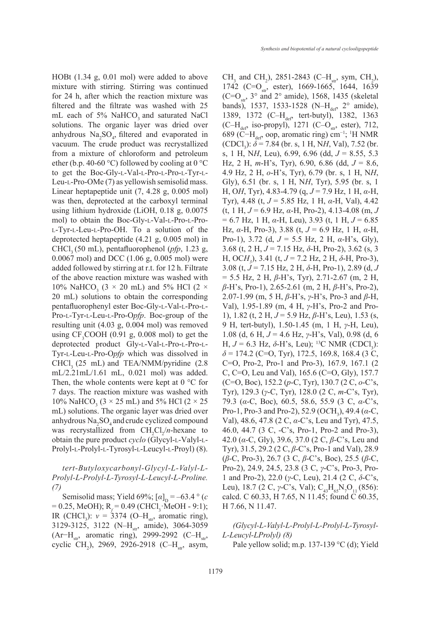HOBt (1.34 g, 0.01 mol) were added to above mixture with stirring. Stirring was continued for 24 h, after which the reaction mixture was filtered and the filtrate was washed with 25 mL each of  $5\%$  NaHCO<sub>3</sub> and saturated NaCl solutions. The organic layer was dried over anhydrous  $\text{Na}_2\text{SO}_4$ , filtered and evaporated in vacuum. The crude product was recrystallized from a mixture of chloroform and petroleum ether (b.p. 40-60 °C) followed by cooling at  $0^{\circ}$ C to get the Boc-Gly-l-Val-l-Pro-l-Pro-l-Tyr-l-Leu-l-Pro-OMe (7) as yellowish semisolid mass. Linear heptapeptide unit (7, 4.28 g, 0.005 mol) was then, deprotected at the carboxyl terminal using lithium hydroxide (LiOH, 0.18 g, 0.0075 mol) to obtain the Boc-Gly-l-Val-l-Pro-l-Prol-Tyr-l-Leu-l-Pro-OH. To a solution of the deprotected heptapeptide (4.21 g, 0.005 mol) in CHCl<sub>3</sub> (50 mL), pentafluorophenol (*pfp*, 1.23 g, 0.0067 mol) and DCC (1.06 g, 0.005 mol) were added followed by stirring at r.t. for 12 h. Filtrate of the above reaction mixture was washed with 10% NaHCO<sub>3</sub> (3  $\times$  20 mL) and 5% HCl (2  $\times$ 20 mL) solutions to obtain the corresponding pentafluorophenyl ester Boc-Gly-l-Val-l-Pro-l-Pro-l-Tyr-l-Leu-l-Pro-O*pfp*. Boc-group of the resulting unit (4.03 g, 0.004 mol) was removed using  $CF<sub>3</sub>COOH$  (0.91 g, 0.008 mol) to get the deprotected product Gly-l-Val-l-Pro-l-Pro-l-Tyr-l-Leu-l-Pro-O*pfp* which was dissolved in CHCl,  $(25 \text{ mL})$  and TEA/NMM/pyridine  $(2.8 \text{ mL})$ mL/2.21mL/1.61 mL, 0.021 mol) was added. Then, the whole contents were kept at  $0^{\circ}$ C for 7 days. The reaction mixture was washed with 10% NaHCO<sub>3</sub> (3  $\times$  25 mL) and 5% HCl (2  $\times$  25 mL) solutions. The organic layer was dried over anhydrous  $\text{Na}_2\text{SO}_4$  and crude cyclized compound was recrystallized from  $CH_2Cl_2/n$ -hexane to obtain the pure product *cyclo* (Glycyl-l-Valyl-l-Prolyl-l-Prolyl-l-Tyrosyl-l-Leucyl-l-Proyl) (8).

*tert-Butyloxycarbonyl-Glycyl-L-Valyl-L-Prolyl-L-Prolyl-L-Tyrosyl-L-Leucyl-L-Proline. (7)*

Semisolid mass; Yield 69%;  $[\alpha]_p = -63.4$  ° (*c*  $= 0.25$ , MeOH); R<sub>f</sub> = 0.49 (CHCl<sub>3</sub>·MeOH - 9:1); IR (CHCl<sub>3</sub>):  $v = 3374$  (O–H<sub>str</sub>, aromatic ring), 3129-3125, 3122 (N–H<sub>str</sub>, amide), 3064-3059 (Ar−H<sub>str</sub>, aromatic ring), 2999-2992 (C–H<sub>atr</sub>, cyclic CH<sub>2</sub>), 2969, 2926-2918 (C-H<sub>str</sub>, asym,

CH<sub>3</sub> and CH<sub>2</sub>), 2851-2843 (C–H<sub>str</sub>, sym, CH<sub>2</sub>), 1742 (C=O<sub>str</sub>, ester), 1669-1665, 1644, 1639  $(C=O<sub>str</sub>, 3<sup>o</sup>$  and 2<sup>o</sup> amide), 1568, 1435 (skeletal bands), 1537, 1533-1528 (N- $H_{\text{def}}$  2° amide), 1389, 1372 (C–H<sub>def</sub>, tert-butyl), 1382, 1363 (C–H<sub>def</sub>, iso-propyl), 1271 (C–O<sub>str</sub>, ester), 712, 689 (C $-H$ <sub>def</sub>, oop, aromatic ring) cm<sup>-1</sup>; <sup>1</sup>H NMR  $(CDCl_3)$ :  $\delta$  = 7.84 (br. s, 1 H, N*H*, Val), 7.52 (br. s, 1 H, N*H*, Leu), 6.99, 6.96 (dd, *J* = 8.55, 5.3 Hz, 2 H, *m*-H's, Tyr), 6.90, 6.86 (dd, *J* = 8.6, 4.9 Hz, 2 H, *o*-H's, Tyr), 6.79 (br. s, 1 H, N*H*, Gly), 6.51 (br. s, 1 H, N*H*, Tyr), 5.95 (br. s, 1 H, O*H*, Tyr), 4.83-4.79 (q, *J* = 7.9 Hz, 1 H, *α*-H, Tyr), 4.48 (t, *J* = 5.85 Hz, 1 H, *α*-H, Val), 4.42 (t, 1 H, *J* = 6.9 Hz, *α*-H, Pro-2), 4.13-4.08 (m, *J* = 6.7 Hz, 1 H, *α*-H, Leu), 3.93 (t, 1 H, *J* = 6.85 Hz, *α*-H, Pro-3), 3.88 (t, *J* = 6.9 Hz, 1 H, *α*-H, Pro-1), 3.72 (d, *J* = 5.5 Hz, 2 H, *α*-H's, Gly), 3.68 (t, 2 H, *J* = 7.15 Hz, *δ*-H, Pro-2), 3.62 (s, 3 H, OC*H3* ), 3.41 (t, *J* = 7.2 Hz, 2 H, *δ*-H, Pro-3), 3.08 (t, *J* = 7.15 Hz, 2 H, *δ*-H, Pro-1), 2.89 (d, *J* = 5.5 Hz, 2 H, *β*-H's, Tyr), 2.71-2.67 (m, 2 H, *β*-H's, Pro-1), 2.65-2.61 (m, 2 H, *β*-H's, Pro-2), 2.07-1.99 (m, 5 H, *β*-H's, *γ*-H's, Pro-3 and *β*-H, Val), 1.95-1.89 (m, 4 H, *γ*-H's, Pro-2 and Pro-1), 1.82 (t, 2 H, *J* = 5.9 Hz, *β*-H's, Leu), 1.53 (s, 9 H, tert-butyl), 1.50-1.45 (m, 1 H, *γ*-H, Leu), 1.08 (d, 6 H, *J* = 4.6 Hz, *γ*-H's, Val), 0.98 (d, 6 H,  $J = 6.3$  Hz,  $δ$ -H's, Leu); <sup>13</sup>C NMR (CDCl<sub>3</sub>): *δ* = 174.2 (C=O, Tyr), 172.5, 169.8, 168.4 (3 C, C=O, Pro-2, Pro-1 and Pro-3), 167.9, 167.1 (2 C, C=O, Leu and Val), 165.6 (C=O, Gly), 157.7 (C=O, Boc), 152.2 (*p*-C, Tyr), 130.7 (2 C, *o*-C's, Tyr), 129.3 (*γ*-C, Tyr), 128.0 (2 C, *m*-C's, Tyr), 79.3 (*α*-C, Boc), 60.5, 58.6, 55.9 (3 C, *α*-C's, Pro-1, Pro-3 and Pro-2), 52.9 (OCH<sub>3</sub>), 49.4 (*α*-C, Val), 48.6, 47.8 (2 C, *α*-C's, Leu and Tyr), 47.5, 46.0, 44.7 (3 C, -C's, Pro-1, Pro-2 and Pro-3), 42.0 (*α*-C, Gly), 39.6, 37.0 (2 C, *β*-C's, Leu and Tyr), 31.5, 29.2 (2 C, *β*-C's, Pro-1 and Val), 28.9 (*β*-C, Pro-3), 26.7 (3 C, *β*-C's, Boc), 25.5 (*β*-C, Pro-2), 24.9, 24.5, 23.8 (3 C, *γ*-C's, Pro-3, Pro-1 and Pro-2), 22.0 (*γ*-C, Leu), 21.4 (2 C, *δ*-C's, Leu), 18.7 (2 C, *γ*-C's, Val); C<sub>43</sub>H<sub>65</sub>N<sub>7</sub>O<sub>11</sub> (856): calcd. C 60.33, H 7.65, N 11.45; found C 60.35, H 7.66, N 11.47.

*(Glycyl-L-Valyl-L-Prolyl-L-Prolyl-L-Tyrosyl-L-Leucyl-LProlyl) (8)*

Pale yellow solid; m.p. 137-139 °C (d); Yield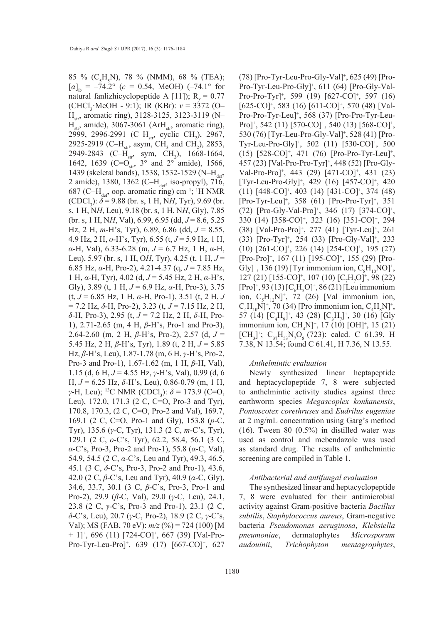85 % (C<sub>5</sub>H<sub>5</sub>N), 78 % (NMM), 68 % (TEA);  $[\alpha]_{\text{D}} = -74.2^{\circ}$  ( $c = 0.54$ , MeOH) (-74.1° for natural fanlizhicyclopeptide A [11]);  $R_f = 0.77$ (CHCl3 ·MeOH - 9:1); IR (KBr): *v* = 3372 (O–  $H_{\text{str}}$ , aromatic ring), 3128-3125, 3123-3119 (N–  $H<sub>str</sub>$ , amide), 3067-3061 (Ar $H<sub>str</sub>$ , aromatic ring), 2999, 2996-2991 (C–H<sub>str</sub>, cyclic CH<sub>2</sub>), 2967, 2925-2919 (C- $H_{str}$ , asym, CH<sub>3</sub> and CH<sub>2</sub>), 2853, 2949-2843 (C-H<sub>str</sub>, sym, CH<sub>2</sub>), 1668-1664, 1642, 1639 (C= $O_{str}$ , 3° and 2° amide), 1566, 1439 (skeletal bands), 1538, 1532-1529 (N-H<sub>def</sub>) 2 amide), 1380, 1362 (C-H<sub>def</sub>, iso-propyl), 716, 687 (C $-H$ <sub>def</sub>, oop, aromatic ring) cm<sup>-1</sup>; <sup>1</sup>H NMR  $(CDCl<sub>3</sub>)$ :  $\delta = 9.88$  (br. s, 1 H, NH, Tyr), 9.69 (br. s, 1 H, N*H*, Leu), 9.18 (br. s, 1 H, N*H*, Gly), 7.85 (br. s, 1 H, N*H*, Val), 6.99, 6.95 (dd, *J* = 8.6, 5.25 Hz, 2 H, *m*-H's, Tyr), 6.89, 6.86 (dd, *J* = 8.55, 4.9 Hz, 2 H, *o*-H's, Tyr), 6.55 (t, *J* = 5.9 Hz, 1 H, *α*-H, Val), 6.33-6.28 (m, *J* = 6.7 Hz, 1 H, *α*-H, Leu), 5.97 (br. s, 1 H, O*H*, Tyr), 4.25 (t, 1 H, *J* = 6.85 Hz, *α*-H, Pro-2), 4.21-4.37 (q, *J* = 7.85 Hz, 1 H, *α*-H, Tyr), 4.02 (d, *J* = 5.45 Hz, 2 H, *α*-H's, Gly), 3.89 (t, 1 H, *J* = 6.9 Hz, *α*-H, Pro-3), 3.75 (t, *J* = 6.85 Hz, 1 H, *α*-H, Pro-1), 3.51 (t, 2 H, *J* = 7.2 Hz, *δ*-H, Pro-2), 3.23 (t, *J* = 7.15 Hz, 2 H, *δ*-H, Pro-3), 2.95 (t, *J* = 7.2 Hz, 2 H, *δ*-H, Pro-1), 2.71-2.65 (m, 4 H, *β*-H's, Pro-1 and Pro-3), 2.64-2.60 (m, 2 H, *β*-H's, Pro-2), 2.57 (d, *J* = 5.45 Hz, 2 H, *β*-H's, Tyr), 1.89 (t, 2 H, *J* = 5.85 Hz, *β*-H's, Leu), 1.87-1.78 (m, 6 H, *γ*-H's, Pro-2, Pro-3 and Pro-1), 1.67-1.62 (m, 1 H, *β*-H, Val), 1.15 (d, 6 H, *J* = 4.55 Hz, *γ*-H's, Val), 0.99 (d, 6 H, *J* = 6.25 Hz, *δ*-H's, Leu), 0.86-0.79 (m, 1 H, *γ*-H, Leu); <sup>13</sup>C NMR (CDCl<sub>3</sub>):  $\delta$  = 173.9 (C=O, Leu), 172.0, 171.3 (2 C, C=O, Pro-3 and Tyr), 170.8, 170.3, (2 C, C=O, Pro-2 and Val), 169.7, 169.1 (2 C, C=O, Pro-1 and Gly), 153.8 (*p*-C, Tyr), 135.6 (*γ*-C, Tyr), 131.3 (2 C, *m*-C's, Tyr), 129.1 (2 C, *o*-C's, Tyr), 62.2, 58.4, 56.1 (3 C, *α*-C's, Pro-3, Pro-2 and Pro-1), 55.8 (*α*-C, Val), 54.9, 54.5 (2 C, *α*-C's, Leu and Tyr), 49.3, 46.5, 45.1 (3 C, *δ*-C's, Pro-3, Pro-2 and Pro-1), 43.6, 42.0 (2 C, *β*-C's, Leu and Tyr), 40.9 (*α*-C, Gly), 34.6, 33.7, 30.1 (3 C, *β*-C's, Pro-3, Pro-1 and Pro-2), 29.9 (*β*-C, Val), 29.0 (*γ*-C, Leu), 24.1, 23.8 (2 C, *γ*-C's, Pro-3 and Pro-1), 23.1 (2 C, *δ*-C's, Leu), 20.7 (*γ*-C, Pro-2), 18.9 (2 C, *γ*-C's, Val); MS (FAB, 70 eV): *m/z* (%) = 724 (100) [M + 1]+ , 696 (11) [724-CO]<sup>+</sup> , 667 (39) [Val-Pro-Pro-Tyr-Leu-Pro]<sup>+</sup>, 639 (17) [667-CO]<sup>+</sup>, 627

(78) [Pro-Tyr-Leu-Pro-Gly-Val]<sup>+</sup> , 625 (49) [Pro-Pro-Tyr-Leu-Pro-Gly]<sup>+</sup>, 611 (64) [Pro-Gly-Val-Pro-Pro-Tyr]<sup>+</sup>, 599 (19) [627-CO]<sup>+</sup>, 597 (16)  $[625\text{-}CO]$ <sup>+</sup>, 583 (16)  $[611\text{-}CO]$ <sup>+</sup>, 570 (48) [Val-Pro-Pro-Tyr-Leu]<sup>+</sup>, 568 (37) [Pro-Pro-Tyr-Leu-Pro]<sup>+</sup>, 542 (11) [570-CO]<sup>+</sup>, 540 (13) [568-CO]<sup>+</sup>, 530 (76) [Tyr-Leu-Pro-Gly-Val]<sup>+</sup> , 528 (41) [Pro-Tyr-Leu-Pro-Gly]<sup>+</sup>, 502 (11) [530-CO]<sup>+</sup>, 500 (15) [528-CO]<sup>+</sup> , 471 (76) [Pro-Pro-Tyr-Leu]<sup>+</sup> , 457 (23) [Val-Pro-Pro-Tyr]<sup>+</sup> , 448 (52) [Pro-Gly-Val-Pro-Pro]<sup>+</sup>, 443 (29) [471-CO]<sup>+</sup>, 431 (23) [Tyr-Leu-Pro-Gly]<sup>+</sup>, 429 (16)  $[457$ -CO]<sup>+</sup>, 420 (11) [448-CO]<sup>+</sup> , 403 (14) [431-CO]<sup>+</sup> , 374 (48)  $[Pro-Tyr-Leu]^{+}$ , 358 (61)  $[Pro-Pro-Tyr]^{+}$ , 351 (72) [Pro-Gly-Val-Pro]<sup>+</sup> , 346 (17) [374-CO]<sup>+</sup> , 330 (14) [358-CO]<sup>+</sup> , 323 (16) [351-CO]<sup>+</sup> , 294 (38) [Val-Pro-Pro]<sup>+</sup> , 277 (41) [Tyr-Leu]<sup>+</sup> , 261 (33) [Pro-Tyr]<sup>+</sup> , 254 (33) [Pro-Gly-Val]<sup>+</sup> , 233 (10) [261-CO]<sup>+</sup> , 226 (14) [254-CO]<sup>+</sup> , 195 (27) [Pro-Pro]<sup>+</sup>, 167 (11) [195-CO]<sup>+</sup>, 155 (29) [Pro-Gly]<sup>+</sup>, 136 (19) [Tyr immonium ion,  $C_8H_{10}NO$ ]<sup>+</sup>,  $127 (21) [155-CO]^+, 107 (10) [C<sub>7</sub>H<sub>7</sub>O]^+, 98 (22)$  $[Pro]^+, 93 (13) [C_6H_5O]^+, 86 (21) [Leu immun$ ion,  $C_5H_{12}N$ <sup>+</sup>, 72 (26) [Val immonium ion,  $C_4H_{10}N$ <sup>+</sup>, 70 (34) [Pro immonium ion,  $C_4H_8N$ ]<sup>+</sup>, 57 (14)  $[C_4H_9]^+$ , 43 (28)  $[C_3H_7]^+$ , 30 (16) [Gly immonium ion,  $CH_4N$ <sup>+</sup>, 17 (10) [OH]<sup>+</sup>, 15 (21) [CH<sub>3</sub>]<sup>+</sup>; C<sub>37</sub>H<sub>53</sub>N<sub>7</sub>O<sub>8</sub> (723): calcd. C 61.39, H 7.38, N 13.54; found C 61.41, H 7.36, N 13.55.

## *Anthelmintic evaluation*

Newly synthesized linear heptapeptide and heptacyclopeptide 7, 8 were subjected to anthelmintic activity studies against three earthworm species *Megascoplex konkanensis*, *Pontoscotex corethruses* and *Eudrilus eugeniae* at 2 mg/mL concentration using Garg's method (16). Tween 80 (0.5%) in distilled water was used as control and mebendazole was used as standard drug. The results of anthelmintic screening are compiled in Table 1.

#### *Antibacterial and antifungal evaluation*

The synthesized linear and heptacyclopeptide 7, 8 were evaluated for their antimicrobial activity against Gram-positive bacteria *Bacillus subtilis*, *Staphylococcus aureus*, Gram-negative bacteria *Pseudomonas aeruginosa*, *Klebsiella pneumoniae*, dermatophytes *Microsporum audouinii*, *Trichophyton mentagrophytes*,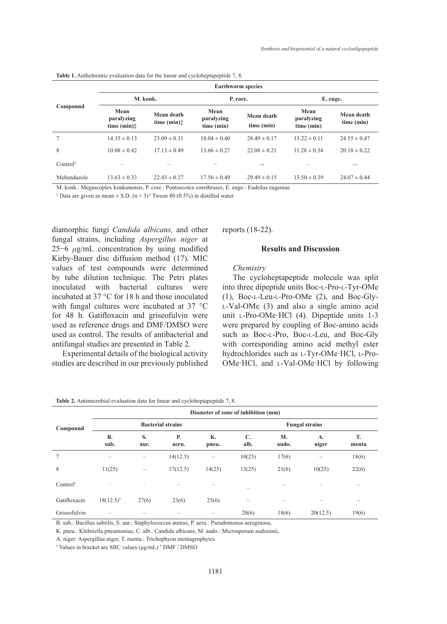| Compound             | <b>Earthworm species</b>             |                              |                                  |                          |                                  |                          |  |  |  |  |  |
|----------------------|--------------------------------------|------------------------------|----------------------------------|--------------------------|----------------------------------|--------------------------|--|--|--|--|--|
|                      | M. konk.                             |                              |                                  | P. core.                 | E. euge.                         |                          |  |  |  |  |  |
|                      | Mean<br>paralyzing<br>time $(min)$ : | Mean death<br>time $(min)$ : | Mean<br>paralyzing<br>time (min) | Mean death<br>time (min) | Mean<br>paralyzing<br>time (min) | Mean death<br>time (min) |  |  |  |  |  |
| 7                    | $14.35 \pm 0.13$                     | $23.09 \pm 0.31$             | $18.04 \pm 0.40$                 | $28.49 \pm 0.17$         | $13.22 \pm 0.11$                 | $24.55 \pm 0.47$         |  |  |  |  |  |
| 8                    | $10.08 \pm 0.42$                     | $17.13 \pm 0.49$             | $13.66 \pm 0.27$                 | $22.08 \pm 0.21$         | $11.28 \pm 0.34$                 | $20.18 \pm 0.22$         |  |  |  |  |  |
| Control <sup>#</sup> |                                      |                              |                                  |                          |                                  |                          |  |  |  |  |  |
| Mebendazole          | $13.63 \pm 0.33$                     | $22.43 \pm 0.27$             | $17.56 \pm 0.49$                 | $29.49 \pm 0.15$         | $13.50 \pm 0.39$                 | $24.07 \pm 0.44$         |  |  |  |  |  |

**Table 1.** Anthelmintic evaluation data for the linear and cycloheptapeptide 7, 8.

M. konk.: Megascoplex konkanensis, P. core.: Pontoscotex corethruses, E. euge.: Eudrilus eugeniae

 $\frac{1}{4}$  Data are given as mean  $\pm$  S.D. (n = 3)<sup>#</sup> Tween 80 (0.5%) in distilled water

diamorphic fungi *Candida albicans,* and other fungal strains, including *Aspergillus niger* at 25−6 *μ*g/mL concentration by using modified Kirby-Bauer disc diffusion method (17). MIC values of test compounds were determined by tube dilution technique. The Petri plates inoculated with bacterial cultures were incubated at 37 °C for 18 h and those inoculated with fungal cultures were incubated at 37 °C for 48 h. Gatifloxacin and griseofulvin were used as reference drugs and DMF/DMSO were used as control. The results of antibacterial and antifungal studies are presented in Table 2.

Experimental details of the biological activity studies are described in our previously published reports (18-22).

#### **Results and Discussion**

## *Chemistry*

The cycloheptapeptide molecule was split into three dipeptide units Boc-l-Pro-l-Tyr-OMe (1), Boc-l-Leu-l-Pro-OMe (2), and Boc-Glyl-Val-OMe (3) and also a single amino acid unit l-Pro-OMe·HCl (4). Dipeptide units 1-3 were prepared by coupling of Boc-amino acids such as Boc-l-Pro, Boc-l-Leu, and Boc-Gly with corresponding amino acid methyl ester hydrochlorides such as L-Tyr-OMe·HCl, L-Pro-OMe·HCl, and L-Val-OMe·HCl by following

| Compound     | Diameter of zone of inhibition (mm) |                          |             |             |                       |             |                         |             |  |  |  |
|--------------|-------------------------------------|--------------------------|-------------|-------------|-----------------------|-------------|-------------------------|-------------|--|--|--|
|              | <b>Bacterial strains</b>            |                          |             |             | <b>Fungal strains</b> |             |                         |             |  |  |  |
|              | <b>B.</b><br>sub.                   | S.<br>aur.               | Р.<br>aeru. | Κ.<br>pneu. | C.<br>alb.            | M.<br>audo. | $\mathbf{A}$ .<br>niger | Т.<br>menta |  |  |  |
|              |                                     | -                        | 14(12.5)    | -           | 10(25)                | 17(6)       |                         | 18(6)       |  |  |  |
| 8            | 11(25)                              | $\qquad \qquad$          | 17(12.5)    | 14(25)      | 13(25)                | 21(6)       | 10(25)                  | 22(6)       |  |  |  |
| $Control^*$  |                                     | $\overline{\phantom{a}}$ |             |             |                       |             |                         |             |  |  |  |
| Gatifloxacin | $18(12.5)^{\dagger}$                | 27(6)                    | 23(6)       | 25(6)       |                       |             |                         |             |  |  |  |
| Griseofulvin |                                     |                          |             |             | 20(6)                 | 18(6)       | 20(12.5)                | 19(6)       |  |  |  |

B. sub.: Bacillus subtilis, S. aur.: Staphylococcus aureus, P. aeru.: Pseudomonas aeruginosa,

K. pneu.: Klebsiella pneumoniae, C. alb.: Candida albicans, M. audo.: Microsporum audouinii,

A. niger: Aspergillus niger, T. menta.: Trichophyon mentagrophytes

<sup>†</sup> Values in bracket are MIC values (μg/mL) <sup>#</sup> DMF / DMSO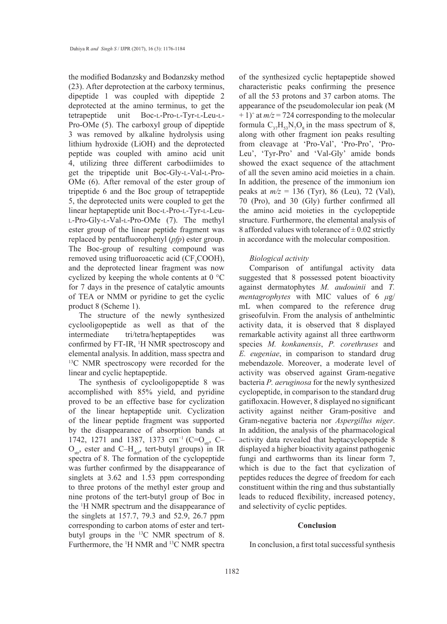the modified Bodanzsky and Bodanzsky method (23). After deprotection at the carboxy terminus, dipeptide 1 was coupled with dipeptide 2 deprotected at the amino terminus, to get the tetrapeptide unit Boc-l-Pro-l-Tyr-l-Leu-l-Pro-OMe (5). The carboxyl group of dipeptide 3 was removed by alkaline hydrolysis using lithium hydroxide (LiOH) and the deprotected peptide was coupled with amino acid unit 4, utilizing three different carbodiimides to get the tripeptide unit Boc-Gly-l-Val-l-Pro-OMe (6). After removal of the ester group of tripeptide 6 and the Boc group of tetrapeptide 5, the deprotected units were coupled to get the linear heptapeptide unit Boc-l-Pro-l-Tyr-l-Leul-Pro-Gly-l-Val-l-Pro-OMe (7). The methyl ester group of the linear peptide fragment was replaced by pentafluorophenyl (*pfp*) ester group. The Boc-group of resulting compound was removed using trifluoroacetic acid  $(\text{CF}_3\text{COOH})$ , and the deprotected linear fragment was now cyclized by keeping the whole contents at 0 °C for 7 days in the presence of catalytic amounts of TEA or NMM or pyridine to get the cyclic product 8 (Scheme 1).

The structure of the newly synthesized cyclooligopeptide as well as that of the intermediate tri/tetra/heptapeptides was confirmed by FT-IR, <sup>1</sup>H NMR spectroscopy and elemental analysis. In addition, mass spectra and 13C NMR spectroscopy were recorded for the linear and cyclic heptapeptide.

The synthesis of cyclooligopeptide 8 was accomplished with 85% yield, and pyridine proved to be an effective base for cyclization of the linear heptapeptide unit. Cyclization of the linear peptide fragment was supported by the disappearance of absorption bands at 1742, 1271 and 1387, 1373 cm<sup>-1</sup> (C=O<sub>str</sub>, C–  $O<sub>str</sub>$ , ester and C–H<sub>def</sub>, tert-butyl groups) in IR spectra of 8. The formation of the cyclopeptide was further confirmed by the disappearance of singlets at 3.62 and 1.53 ppm corresponding to three protons of the methyl ester group and nine protons of the tert-butyl group of Boc in the 1 H NMR spectrum and the disappearance of the singlets at 157.7, 79.3 and 52.9, 26.7 ppm corresponding to carbon atoms of ester and tertbutyl groups in the <sup>13</sup>C NMR spectrum of 8. Furthermore, the <sup>1</sup>H NMR and <sup>13</sup>C NMR spectra of the synthesized cyclic heptapeptide showed characteristic peaks confirming the presence of all the 53 protons and 37 carbon atoms. The appearance of the pseudomolecular ion peak (M  $+1$ <sup>+</sup> at *m*/ $z$  = 724 corresponding to the molecular formula  $C_{37}H_{53}N_7O_8$  in the mass spectrum of 8, along with other fragment ion peaks resulting from cleavage at 'Pro-Val', 'Pro-Pro', 'Pro-Leu', 'Tyr-Pro' and 'Val-Gly' amide bonds showed the exact sequence of the attachment of all the seven amino acid moieties in a chain. In addition, the presence of the immonium ion peaks at *m/z* = 136 (Tyr), 86 (Leu), 72 (Val), 70 (Pro), and 30 (Gly) further confirmed all the amino acid moieties in the cyclopeptide structure. Furthermore, the elemental analysis of 8 afforded values with tolerance of  $\pm$  0.02 strictly in accordance with the molecular composition.

## *Biological activity*

Comparison of antifungal activity data suggested that 8 possessed potent bioactivity against dermatophytes *M. audouinii* and *T. mentagrophytes* with MIC values of 6 *μ*g/ mL when compared to the reference drug griseofulvin. From the analysis of anthelmintic activity data, it is observed that 8 displayed remarkable activity against all three earthworm species *M. konkanensis*, *P. corethruses* and *E. eugeniae*, in comparison to standard drug mebendazole. Moreover, a moderate level of activity was observed against Gram-negative bacteria *P. aeruginosa* for the newly synthesized cyclopeptide, in comparison to the standard drug gatifloxacin. However, 8 displayed no significant activity against neither Gram-positive and Gram-negative bacteria nor *Aspergillus niger*. In addition, the analysis of the pharmacological activity data revealed that heptacyclopeptide 8 displayed a higher bioactivity against pathogenic fungi and earthworms than its linear form 7, which is due to the fact that cyclization of peptides reduces the degree of freedom for each constituent within the ring and thus substantially leads to reduced flexibility, increased potency, and selectivity of cyclic peptides.

## **Conclusion**

In conclusion, a first total successful synthesis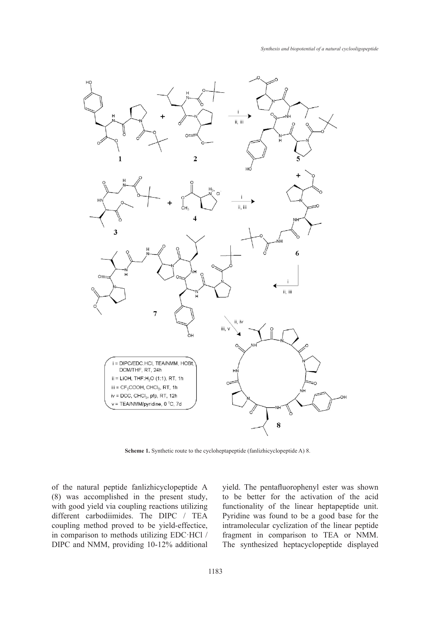

**Scheme 1.** Synthetic route to the cycloheptapeptide (fanlizhicyclopeptide A) 8.

of the natural peptide fanlizhicyclopeptide A (8) was accomplished in the present study, with good yield via coupling reactions utilizing different carbodiimides. The DIPC / TEA coupling method proved to be yield-effectice, in comparison to methods utilizing EDC·HCl / DIPC and NMM, providing 10-12% additional

yield. The pentafluorophenyl ester was shown to be better for the activation of the acid functionality of the linear heptapeptide unit. Pyridine was found to be a good base for the intramolecular cyclization of the linear peptide fragment in comparison to TEA or NMM. The synthesized heptacyclopeptide displayed